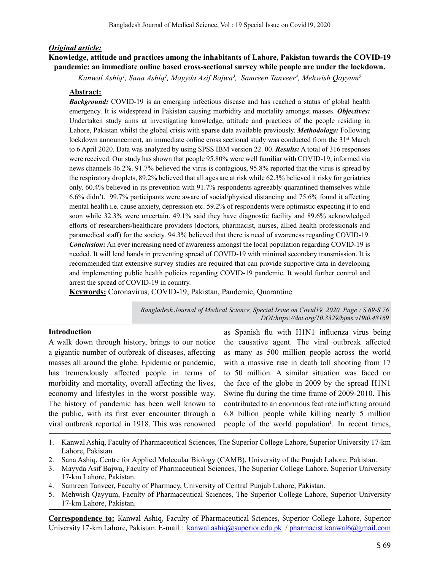# *Original article:*

# **Knowledge, attitude and practices among the inhabitants of Lahore, Pakistan towards the COVID-19 pandemic: an immediate online based cross-sectional survey while people are under the lockdown.**

*Kanwal Ashiq1 , Sana Ashiq2 , Mayyda Asif Bajwa3 , Samreen Tanveer4 , Mehwish Qayyum5*

# **Abstract:**

*Background:* COVID-19 is an emerging infectious disease and has reached a status of global health emergency. It is widespread in Pakistan causing morbidity and mortality amongst masses. *Objectives:* Undertaken study aims at investigating knowledge, attitude and practices of the people residing in Lahore, Pakistan whilst the global crisis with sparse data available previously. *Methodology:* Following lockdown announcement, an immediate online cross sectional study was conducted from the  $31<sup>st</sup>$  March to 6 April 2020. Data was analyzed by using SPSS IBM version 22. 00. *Results:* A total of 316 responses were received. Our study has shown that people 95.80% were well familiar with COVID-19, informed via news channels 46.2%. 91.7% believed the virus is contagious, 95.8% reported that the virus is spread by the respiratory droplets, 89.2% believed that all ages are at risk while 62.3% believed it risky for geriatrics only. 60.4% believed in its prevention with 91.7% respondents agreeably quarantined themselves while 6.6% didn't. 99.7% participants were aware of social/physical distancing and 75.6% found it affecting mental health i.e. cause anxiety, depression etc. 59.2% of respondents were optimistic expecting it to end soon while 32.3% were uncertain. 49.1% said they have diagnostic facility and 89.6% acknowledged efforts of researchers/healthcare providers (doctors, pharmacist, nurses, allied health professionals and paramedical staff) for the society. 94.3% believed that there is need of awareness regarding COVID-19. *Conclusion:* An ever increasing need of awareness amongst the local population regarding COVID-19 is needed. It will lend hands in preventing spread of COVID-19 with minimal secondary transmission. It is recommended that extensive survey studies are required that can provide supportive data in developing and implementing public health policies regarding COVID-19 pandemic. It would further control and arrest the spread of COVID-19 in country.

**Keywords:** Coronavirus, COVID-19, Pakistan, Pandemic, Quarantine

*Bangladesh Journal of Medical Science, Special Issue on Covid19, 2020. Page : S 69-S 76 DOI:https://doi.org/10.3329/bjms.v19i0.48169*

# **Introduction**

A walk down through history, brings to our notice a gigantic number of outbreak of diseases, affecting masses all around the globe. Epidemic or pandemic, has tremendously affected people in terms of morbidity and mortality, overall affecting the lives, economy and lifestyles in the worst possible way. The history of pandemic has been well known to the public, with its first ever encounter through a viral outbreak reported in 1918. This was renowned

as Spanish flu with H1N1 influenza virus being the causative agent. The viral outbreak affected as many as 500 million people across the world with a massive rise in death toll shooting from 17 to 50 million. A similar situation was faced on the face of the globe in 2009 by the spread H1N1 Swine flu during the time frame of 2009-2010. This contributed to an enormous feat rate inflicting around 6.8 billion people while killing nearly 5 million people of the world population<sup>1</sup>. In recent times,

- 1. Kanwal Ashiq, Faculty of Pharmaceutical Sciences, The Superior College Lahore, Superior University 17-km Lahore, Pakistan.
- 2. Sana Ashiq, Centre for Applied Molecular Biology (CAMB), University of the Punjab Lahore, Pakistan.
- 3. Mayyda Asif Bajwa, Faculty of Pharmaceutical Sciences, The Superior College Lahore, Superior University 17-km Lahore, Pakistan.
- 4. Samreen Tanveer, Faculty of Pharmacy, University of Central Punjab Lahore, Pakistan.
- 5. Mehwish Qayyum, Faculty of Pharmaceutical Sciences, The Superior College Lahore, Superior University 17-km Lahore, Pakistan.

**Correspondence to:** Kanwal Ashiq, Faculty of Pharmaceutical Sciences, Superior College Lahore, Superior University 17-km Lahore, Pakistan. E-mail : kanwal.ashiq@superior.edu.pk / pharmacist.kanwal6@gmail.com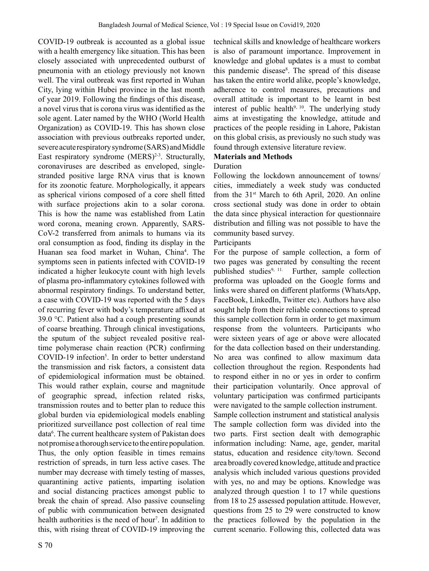COVID-19 outbreak is accounted as a global issue with a health emergency like situation. This has been closely associated with unprecedented outburst of pneumonia with an etiology previously not known well. The viral outbreak was first reported in Wuhan City, lying within Hubei province in the last month of year 2019. Following the findings of this disease, a novel virus that is corona virus was identified as the sole agent. Later named by the WHO (World Health Organization) as COVID-19. This has shown close association with previous outbreaks reported under, severe acute respiratory syndrome (SARS) and Middle East respiratory syndrome  $(MERS)^{2-3}$ . Structurally, coronaviruses are described as enveloped, singlestranded positive large RNA virus that is known for its zoonotic feature. Morphologically, it appears as spherical virions composed of a core shell fitted with surface projections akin to a solar corona. This is how the name was established from Latin word corona, meaning crown. Apparently, SARS-CoV-2 transferred from animals to humans via its oral consumption as food, finding its display in the Huanan sea food market in Wuhan, China<sup>4</sup>. The symptoms seen in patients infected with COVID-19 indicated a higher leukocyte count with high levels of plasma pro-inflammatory cytokines followed with abnormal respiratory findings. To understand better, a case with COVID-19 was reported with the 5 days of recurring fever with body's temperature affixed at 39.0 °C. Patient also had a cough presenting sounds of coarse breathing. Through clinical investigations, the sputum of the subject revealed positive realtime polymerase chain reaction (PCR) confirming COVID-19 infection<sup>5</sup>. In order to better understand the transmission and risk factors, a consistent data of epidemiological information must be obtained. This would rather explain, course and magnitude of geographic spread, infection related risks, transmission routes and to better plan to reduce this global burden via epidemiological models enabling prioritized surveillance post collection of real time data<sup>6</sup>. The current healthcare system of Pakistan does not promise a thorough service to the entire population. Thus, the only option feasible in times remains restriction of spreads, in turn less active cases. The number may decrease with timely testing of masses, quarantining active patients, imparting isolation and social distancing practices amongst public to break the chain of spread. Also passive counseling of public with communication between designated health authorities is the need of hour<sup>7</sup>. In addition to this, with rising threat of COVID-19 improving the

technical skills and knowledge of healthcare workers is also of paramount importance. Improvement in knowledge and global updates is a must to combat this pandemic disease<sup>8</sup>. The spread of this disease has taken the entire world alike, people's knowledge, adherence to control measures, precautions and overall attitude is important to be learnt in best interest of public health<sup>9, 10</sup>. The underlying study aims at investigating the knowledge, attitude and practices of the people residing in Lahore, Pakistan on this global crisis, as previously no such study was found through extensive literature review.

# **Materials and Methods**

# Duration

Following the lockdown announcement of towns/ cities, immediately a week study was conducted from the  $31<sup>st</sup>$  March to 6th April, 2020. An online cross sectional study was done in order to obtain the data since physical interaction for questionnaire distribution and filling was not possible to have the community based survey.

### Participants

For the purpose of sample collection, a form of two pages was generated by consulting the recent published studies<sup>9, 11.</sup> Further, sample collection proforma was uploaded on the Google forms and links were shared on different platforms (WhatsApp, FaceBook, LinkedIn, Twitter etc). Authors have also sought help from their reliable connections to spread this sample collection form in order to get maximum response from the volunteers. Participants who were sixteen years of age or above were allocated for the data collection based on their understanding. No area was confined to allow maximum data collection throughout the region. Respondents had to respond either in no or yes in order to confirm their participation voluntarily. Once approval of voluntary participation was confirmed participants were navigated to the sample collection instrument.

Sample collection instrument and statistical analysis The sample collection form was divided into the two parts. First section dealt with demographic information including: Name, age, gender, marital status, education and residence city/town. Second area broadly covered knowledge, attitude and practice analysis which included various questions provided with yes, no and may be options. Knowledge was analyzed through question 1 to 17 while questions from 18 to 25 assessed population attitude. However, questions from 25 to 29 were constructed to know the practices followed by the population in the current scenario. Following this, collected data was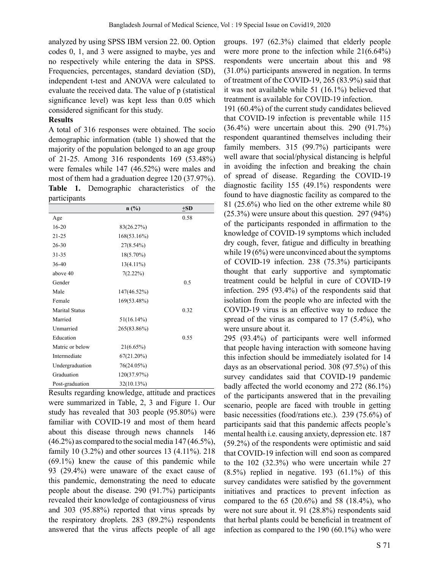analyzed by using SPSS IBM version 22. 00. Option codes 0, 1, and 3 were assigned to maybe, yes and no respectively while entering the data in SPSS. Frequencies, percentages, standard deviation (SD), independent t-test and ANOVA were calculated to evaluate the received data. The value of p (statistical significance level) was kept less than 0.05 which considered significant for this study.

#### **Results**

A total of 316 responses were obtained. The socio demographic information (table 1) showed that the majority of the population belonged to an age group of 21-25. Among 316 respondents 169 (53.48%) were females while 147 (46.52%) were males and most of them had a graduation degree 120 (37.97%). **Table 1.** Demographic characteristics of the participants

|                       | n(%)          | $+SD$ |
|-----------------------|---------------|-------|
| Age                   |               | 0.58  |
| $16 - 20$             | 83(26.27%)    |       |
| $21 - 25$             | 168(53.16%)   |       |
| $26 - 30$             | 27(8.54%)     |       |
| 31-35                 | 18(5.70%)     |       |
| $36-40$               | $13(4.11\%)$  |       |
| above 40              | 7(2.22%)      |       |
| Gender                |               | 0.5   |
| Male                  | 147(46.52%)   |       |
| Female                | 169(53.48%)   |       |
| <b>Marital Status</b> |               | 0.32  |
| Married               | $51(16.14\%)$ |       |
| Unmarried             | 265(83.86%)   |       |
| Education             |               | 0.55  |
| Matric or below       | $21(6.65\%)$  |       |
| Intermediate          | 67(21.20%)    |       |
| Undergraduation       | 76(24.05%)    |       |
| Graduation            | 120(37.97%)   |       |
| Post-graduation       | 32(10.13%)    |       |

Results regarding knowledge, attitude and practices were summarized in Table, 2, 3 and Figure 1. Our study has revealed that 303 people (95.80%) were familiar with COVID-19 and most of them heard about this disease through news channels 146  $(46.2\%)$  as compared to the social media 147 (46.5%), family 10 (3.2%) and other sources 13 (4.11%). 218 (69.1%) knew the cause of this pandemic while 93 (29.4%) were unaware of the exact cause of this pandemic, demonstrating the need to educate people about the disease. 290 (91.7%) participants revealed their knowledge of contagiousness of virus and 303 (95.88%) reported that virus spreads by the respiratory droplets. 283 (89.2%) respondents answered that the virus affects people of all age

groups. 197 (62.3%) claimed that elderly people were more prone to the infection while 21(6.64%) respondents were uncertain about this and 98 (31.0%) participants answered in negation. In terms of treatment of the COVID-19, 265 (83.9%) said that it was not available while 51 (16.1%) believed that treatment is available for COVID-19 infection.

191 (60.4%) of the current study candidates believed that COVID-19 infection is preventable while 115 (36.4%) were uncertain about this. 290 (91.7%) respondent quarantined themselves including their family members. 315 (99.7%) participants were well aware that social/physical distancing is helpful in avoiding the infection and breaking the chain of spread of disease. Regarding the COVID-19 diagnostic facility 155 (49.1%) respondents were found to have diagnostic facility as compared to the 81 (25.6%) who lied on the other extreme while 80 (25.3%) were unsure about this question. 297 (94%) of the participants responded in affirmation to the knowledge of COVID-19 symptoms which included dry cough, fever, fatigue and difficulty in breathing while 19 (6%) were unconvinced about the symptoms of COVID-19 infection. 238 (75.3%) participants thought that early supportive and symptomatic treatment could be helpful in cure of COVID-19 infection. 295 (93.4%) of the respondents said that isolation from the people who are infected with the COVID-19 virus is an effective way to reduce the spread of the virus as compared to 17 (5.4%), who were unsure about it.

295 (93.4%) of participants were well informed that people having interaction with someone having this infection should be immediately isolated for 14 days as an observational period. 308 (97.5%) of this survey candidates said that COVID-19 pandemic badly affected the world economy and 272 (86.1%) of the participants answered that in the prevailing scenario, people are faced with trouble in getting basic necessities (food/rations etc.). 239 (75.6%) of participants said that this pandemic affects people's mental health i.e. causing anxiety, depression etc. 187 (59.2%) of the respondents were optimistic and said that COVID-19 infection will end soon as compared to the 102 (32.3%) who were uncertain while 27  $(8.5\%)$  replied in negative. 193  $(61.1\%)$  of this survey candidates were satisfied by the government initiatives and practices to prevent infection as compared to the 65 (20.6%) and 58 (18.4%), who were not sure about it. 91 (28.8%) respondents said that herbal plants could be beneficial in treatment of infection as compared to the 190 (60.1%) who were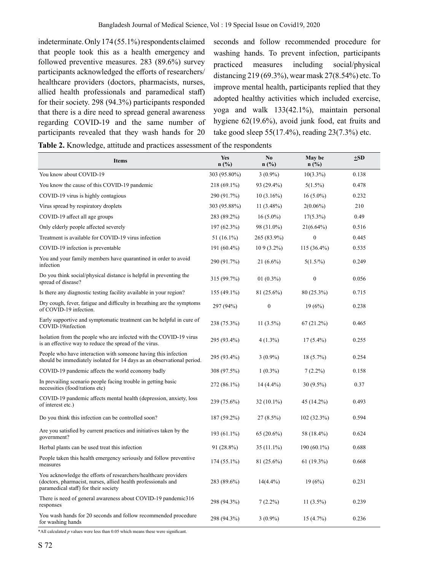indeterminate. Only 174 (55.1%) respondents claimed that people took this as a health emergency and followed preventive measures. 283 (89.6%) survey participants acknowledged the efforts of researchers/ healthcare providers (doctors, pharmacists, nurses, allied health professionals and paramedical staff) for their society. 298 (94.3%) participants responded that there is a dire need to spread general awareness regarding COVID-19 and the same number of participants revealed that they wash hands for 20 seconds and follow recommended procedure for washing hands. To prevent infection, participants practiced measures including social/physical distancing 219 (69.3%), wear mask 27(8.54%) etc. To improve mental health, participants replied that they adopted healthy activities which included exercise, yoga and walk 133(42.1%), maintain personal hygiene 62(19.6%), avoid junk food, eat fruits and take good sleep 55(17.4%), reading 23(7.3%) etc.

**Table 2.** Knowledge, attitude and practices assessment of the respondents

| <b>Items</b>                                                                                                                                                             | <b>Yes</b><br>$n$ (%) | No<br>$n$ (%) | May be<br>n(%) | $\pm$ SD |
|--------------------------------------------------------------------------------------------------------------------------------------------------------------------------|-----------------------|---------------|----------------|----------|
| You know about COVID-19                                                                                                                                                  | 303 (95.80%)          | $3(0.9\%)$    | $10(3.3\%)$    | 0.138    |
| You know the cause of this COVID-19 pandemic                                                                                                                             | 218 (69.1%)           | 93 (29.4%)    | $5(1.5\%)$     | 0.478    |
| COVID-19 virus is highly contagious                                                                                                                                      | 290 (91.7%)           | $10(3.16\%)$  | $16(5.0\%)$    | 0.232    |
| Virus spread by respiratory droplets                                                                                                                                     | 303 (95.88%)          | $11(3.48\%)$  | $2(0.06\%)$    | 210      |
| COVID-19 affect all age groups                                                                                                                                           | 283 (89.2%)           | $16(5.0\%)$   | $17(5.3\%)$    | 0.49     |
| Only elderly people affected severely                                                                                                                                    | 197 (62.3%)           | 98 (31.0%)    | $21(6.64\%)$   | 0.516    |
| Treatment is available for COVID-19 virus infection                                                                                                                      | 51 (16.1%)            | 265 (83.9%)   | $\mathbf{0}$   | 0.445    |
| COVID-19 infection is preventable                                                                                                                                        | 191 (60.4%)           | $109(3.2\%)$  | 115 (36.4%)    | 0.535    |
| You and your family members have quarantined in order to avoid<br>infection                                                                                              | 290 (91.7%)           | $21(6.6\%)$   | $5(1.5/\%)$    | 0.249    |
| Do you think social/physical distance is helpful in preventing the<br>spread of disease?                                                                                 | 315 (99.7%)           | 01 $(0.3\%)$  | $\mathbf{0}$   | 0.056    |
| Is there any diagnostic testing facility available in your region?                                                                                                       | 155 (49.1%)           | $81(25.6\%)$  | $80(25.3\%)$   | 0.715    |
| Dry cough, fever, fatigue and difficulty in breathing are the symptoms<br>of COVID-19 infection.                                                                         | 297 (94%)             | $\mathbf{0}$  | 19(6%)         | 0.238    |
| Early supportive and symptomatic treatment can be helpful in cure of<br>COVID-19infection                                                                                | 238 (75.3%)           | $11(3.5\%)$   | $67(21.2\%)$   | 0.465    |
| Isolation from the people who are infected with the COVID-19 virus<br>is an effective way to reduce the spread of the virus.                                             | 295 (93.4%)           | $4(1.3\%)$    | $17(5.4\%)$    | 0.255    |
| People who have interaction with someone having this infection<br>should be immediately isolated for 14 days as an observational period.                                 | 295 (93.4%)           | $3(0.9\%)$    | 18 (5.7%)      | 0.254    |
| COVID-19 pandemic affects the world economy badly                                                                                                                        | 308 (97.5%)           | $1(0.3\%)$    | $7(2.2\%)$     | 0.158    |
| In prevailing scenario people facing trouble in getting basic<br>necessities (food/rations etc)                                                                          | 272 (86.1%)           | 14 (4.4%)     | 30 (9.5%)      | 0.37     |
| COVID-19 pandemic affects mental health (depression, anxiety, loss<br>of interest etc.)                                                                                  | 239 (75.6%)           | $32(10.1\%)$  | 45 (14.2%)     | 0.493    |
| Do you think this infection can be controlled soon?                                                                                                                      | 187 (59.2%)           | $27(8.5\%)$   | 102 (32.3%)    | 0.594    |
| Are you satisfied by current practices and initiatives taken by the<br>government?                                                                                       | 193 (61.1%)           | $65(20.6\%)$  | 58 (18.4%)     | 0.624    |
| Herbal plants can be used treat this infection                                                                                                                           | 91 (28.8%)            | 35 (11.1%)    | 190 (60.1%)    | 0.688    |
| People taken this health emergency seriously and follow preventive<br>measures                                                                                           | 174 (55.1%)           | 81 (25.6%)    | 61 (19.3%)     | 0.668    |
| You acknowledge the efforts of researchers/healthcare providers<br>(doctors, pharmacist, nurses, allied health professionals and<br>paramedical staff) for their society | 283 (89.6%)           | $14(4.4\%)$   | 19(6%)         | 0.231    |
| There is need of general awareness about COVID-19 pandemic316<br>responses                                                                                               | 298 (94.3%)           | $7(2.2\%)$    | $11(3.5\%)$    | 0.239    |
| You wash hands for 20 seconds and follow recommended procedure<br>for washing hands                                                                                      | 298 (94.3%)           | $3(0.9\%)$    | 15(4.7%)       | 0.236    |

\*All calculated *p* values were less than 0.05 which means these were significant.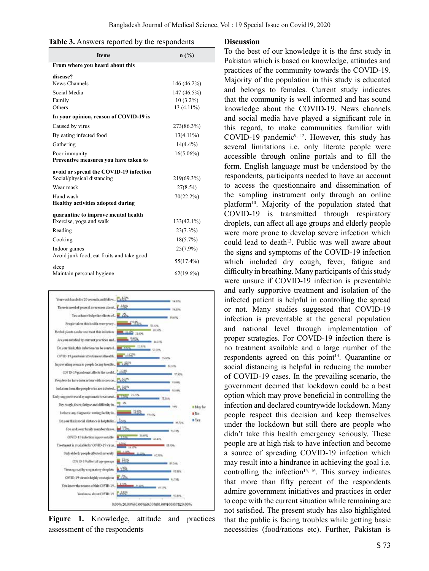|  |  | Table 3. Answers reported by the respondents |
|--|--|----------------------------------------------|
|  |  |                                              |

| <b>Items</b>                              | n(%)         |
|-------------------------------------------|--------------|
| From where you heard about this           |              |
| disease?                                  |              |
| News Channels                             | 146 (46.2%)  |
| Social Media                              | 147 (46.5%)  |
| Family                                    | $10(3.2\%)$  |
| Others                                    | 13 (4.11%)   |
| In your opinion, reason of COVID-19 is    |              |
| Caused by virus                           | 273(86.3%)   |
| By eating infected food                   | $13(4.11\%)$ |
| Gathering                                 | $14(4.4\%)$  |
| Poor immunity                             | $16(5.06\%)$ |
| Preventive measures you have taken to     |              |
| avoid or spread the COVID-19 infection    |              |
| Social/physical distancing                | 219(69.3%)   |
| Wear mask                                 | 27(8.54)     |
| Hand wash                                 | 70(22.2%)    |
| <b>Healthy activities adopted during</b>  |              |
| quarantine to improve mental health       |              |
| Exercise, yoga and walk                   | 133(42.1%)   |
| Reading                                   | 23(7.3%)     |
| Cooking                                   | $18(5.7\%)$  |
| Indoor games                              | $25(7.9\%)$  |
| Avoid junk food, eat fruits and take good | 55(17.4%)    |
| sleep<br>Maintain personal hygiene        | $62(19.6\%)$ |



**Figure 1.** Knowledge, attitude and practices assessment of the respondents

#### **Discussion**

To the best of our knowledge it is the first study in Pakistan which is based on knowledge, attitudes and practices of the community towards the COVID-19. Majority of the population in this study is educated and belongs to females. Current study indicates that the community is well informed and has sound knowledge about the COVID-19. News channels and social media have played a significant role in this regard, to make communities familiar with COVID-19 pandemic<sup>9, 12</sup>. However, this study has several limitations i.e. only literate people were accessible through online portals and to fill the form. English language must be understood by the respondents, participants needed to have an account to access the questionnaire and dissemination of the sampling instrument only through an online platform10. Majority of the population stated that COVID-19 is transmitted through respiratory droplets, can affect all age groups and elderly people were more prone to develop severe infection which could lead to death<sup>13</sup>. Public was well aware about the signs and symptoms of the COVID-19 infection which included dry cough, fever, fatigue and difficulty in breathing. Many participants of this study were unsure if COVID-19 infection is preventable and early supportive treatment and isolation of the infected patient is helpful in controlling the spread or not. Many studies suggested that COVID-19 infection is preventable at the general population and national level through implementation of proper strategies. For COVID-19 infection there is no treatment available and a large number of the respondents agreed on this point $14$ . Quarantine or social distancing is helpful in reducing the number of COVID-19 cases. In the prevailing scenario, the government deemed that lockdown could be a best option which may prove beneficial in controlling the infection and declared countrywide lockdown. Many people respect this decision and keep themselves under the lockdown but still there are people who didn't take this health emergency seriously. These people are at high risk to have infection and become a source of spreading COVID-19 infection which may result into a hindrance in achieving the goal i.e. controlling the infection<sup>15, 16</sup>. This survey indicates that more than fifty percent of the respondents admire government initiatives and practices in order to cope with the current situation while remaining are not satisfied. The present study has also highlighted that the public is facing troubles while getting basic necessities (food/rations etc). Further, Pakistan is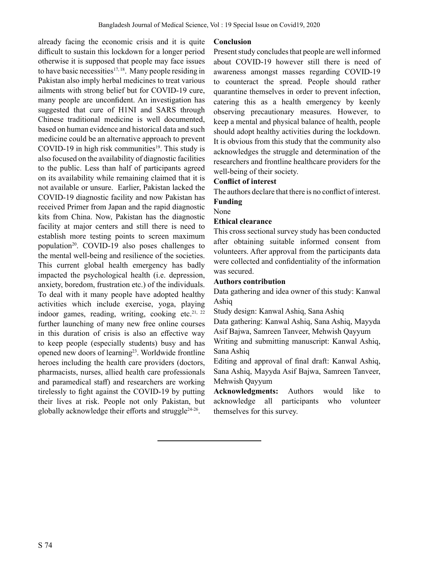already facing the economic crisis and it is quite difficult to sustain this lockdown for a longer period otherwise it is supposed that people may face issues to have basic necessities $17, 18$ . Many people residing in Pakistan also imply herbal medicines to treat various ailments with strong belief but for COVID-19 cure, many people are unconfident. An investigation has suggested that cure of H1NI and SARS through Chinese traditional medicine is well documented, based on human evidence and historical data and such medicine could be an alternative approach to prevent COVID-19 in high risk communities<sup>19</sup>. This study is also focused on the availability of diagnostic facilities to the public. Less than half of participants agreed on its availability while remaining claimed that it is not available or unsure. Earlier, Pakistan lacked the COVID-19 diagnostic facility and now Pakistan has received Primer from Japan and the rapid diagnostic kits from China. Now, Pakistan has the diagnostic facility at major centers and still there is need to establish more testing points to screen maximum population<sup>20</sup>. COVID-19 also poses challenges to the mental well-being and resilience of the societies. This current global health emergency has badly impacted the psychological health (i.e. depression, anxiety, boredom, frustration etc.) of the individuals. To deal with it many people have adopted healthy activities which include exercise, yoga, playing indoor games, reading, writing, cooking etc.<sup>21, 22</sup> further launching of many new free online courses in this duration of crisis is also an effective way to keep people (especially students) busy and has opened new doors of learning<sup>23</sup>. Worldwide frontline heroes including the health care providers (doctors, pharmacists, nurses, allied health care professionals and paramedical staff) and researchers are working tirelessly to fight against the COVID-19 by putting their lives at risk. People not only Pakistan, but globally acknowledge their efforts and struggle<sup> $24-26$ </sup>.

### **Conclusion**

Present study concludes that people are well informed about COVID-19 however still there is need of awareness amongst masses regarding COVID-19 to counteract the spread. People should rather quarantine themselves in order to prevent infection, catering this as a health emergency by keenly observing precautionary measures. However, to keep a mental and physical balance of health, people should adopt healthy activities during the lockdown. It is obvious from this study that the community also acknowledges the struggle and determination of the researchers and frontline healthcare providers for the well-being of their society.

### **Conflict of interest**

The authors declare that there is no conflict of interest. **Funding** 

# None

# **Ethical clearance**

This cross sectional survey study has been conducted after obtaining suitable informed consent from volunteers. After approval from the participants data were collected and confidentiality of the information was secured.

### **Authors contribution**

Data gathering and idea owner of this study: Kanwal Ashiq

Study design: Kanwal Ashiq, Sana Ashiq

Data gathering: Kanwal Ashiq, Sana Ashiq, Mayyda Asif Bajwa, Samreen Tanveer, Mehwish Qayyum

Writing and submitting manuscript: Kanwal Ashiq, Sana Ashiq

Editing and approval of final draft: Kanwal Ashiq, Sana Ashiq, Mayyda Asif Bajwa, Samreen Tanveer, Mehwish Qayyum

**Acknowledgments:** Authors would like to acknowledge all participants who volunteer themselves for this survey.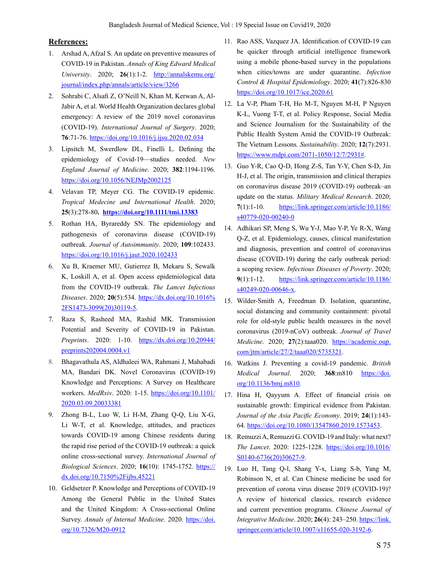## **References:**

- 1. Arshad A, Afzal S. An update on preventive measures of COVID-19 in Pakistan. *Annals of King Edward Medical University*. 2020; **26**(1):1-2. http://annalskemu.org/ journal/index.php/annals/article/view/3266
- 2. Sohrabi C, Alsafi Z, O'Neill N, Khan M, Kerwan A, Al-Jabir A, et al. World Health Organization declares global emergency: A review of the 2019 novel coronavirus (COVID-19). *International Journal of Surgery*. 2020; **76**:71-76. https://doi.org/10.1016/j.ijsu.2020.02.034
- 3. Lipsitch M, Swerdlow DL, Finelli L. Defining the epidemiology of Covid-19—studies needed. *New England Journal of Medicine*. 2020; **382**:1194-1196. https://doi.org/10.1056/NEJMp2002125
- 4. Velavan TP, Meyer CG. The COVID-19 epidemic. *Tropical Medecine and International Health*. 2020; **25**(3):278-80**. https://doi.org/10.1111/tmi.13383**
- 5. Rothan HA, Byrareddy SN. The epidemiology and pathogenesis of coronavirus disease (COVID-19) outbreak. *Journal of Autoimmunity*. 2020; **109**:102433. https://doi.org/10.1016/j.jaut.2020.102433
- 6. Xu B, Kraemer MU, Gutierrez B, Mekaru S, Sewalk K, Loskill A, et al. Open access epidemiological data from the COVID-19 outbreak. *The Lancet Infectious Diseases*. 2020; **20**(5):534. https://dx.doi.org/10.1016% 2FS1473-3099(20)30119-5.
- 7. Raza S, Rasheed MA, Rashid MK. Transmission Potential and Severity of COVID-19 in Pakistan. *Preprints*. 2020: 1-10. https://dx.doi.org/10.20944/ preprints202004.0004.v1
- 8. Bhagavathula AS, Aldhaleei WA, Rahmani J, Mahabadi MA, Bandari DK. Novel Coronavirus (COVID-19) Knowledge and Perceptions: A Survey on Healthcare workers. *MedRxiv*. 2020: 1-15. https://doi.org/10.1101/ 2020.03.09.20033381
- 9. Zhong B-L, Luo W, Li H-M, Zhang Q-Q, Liu X-G, Li W-T, et al. Knowledge, attitudes, and practices towards COVID-19 among Chinese residents during the rapid rise period of the COVID-19 outbreak: a quick online cross-sectional survey. *International Journal of Biological Sciences*. 2020; **16**(10): 1745-1752. https:// dx.doi.org/10.7150%2Fijbs.45221
- 10. Geldsetzer P. Knowledge and Perceptions of COVID-19 Among the General Public in the United States and the United Kingdom: A Cross-sectional Online Survey. *Annals of Internal Medicine*. 2020. https://doi. org/10.7326/M20-0912
- 11. Rao ASS, Vazquez JA. Identification of COVID-19 can be quicker through artificial intelligence framework using a mobile phone-based survey in the populations when cities/towns are under quarantine. *Infection Control & Hospital Epidemiology*. 2020; **41**(7):826-830 https://doi.org/10.1017/ice.2020.61
- 12. La V-P, Pham T-H, Ho M-T, Nguyen M-H, P Nguyen K-L, Vuong T-T, et al. Policy Response, Social Media and Science Journalism for the Sustainability of the Public Health System Amid the COVID-19 Outbreak: The Vietnam Lessons*. Sustainability*. 2020; **12**(7):2931. https://www.mdpi.com/2071-1050/12/7/2931#.
- 13. Guo Y-R, Cao Q-D, Hong Z-S, Tan Y-Y, Chen S-D, Jin H-J, et al. The origin, transmission and clinical therapies on coronavirus disease 2019 (COVID-19) outbreak–an update on the status. *Military Medical Research*. 2020; **7**(1):1-10. https://link.springer.com/article/10.1186/ s40779-020-00240-0
- 14. Adhikari SP, Meng S, Wu Y-J, Mao Y-P, Ye R-X, Wang Q-Z, et al. Epidemiology, causes, clinical manifestation and diagnosis, prevention and control of coronavirus disease (COVID-19) during the early outbreak period: a scoping review. *Infectious Diseases of Poverty*. 2020; **9**(1):1-12. https://link.springer.com/article/10.1186/ s40249-020-00646-x.
- 15. Wilder-Smith A, Freedman D. Isolation, quarantine, social distancing and community containment: pivotal role for old-style public health measures in the novel coronavirus (2019-nCoV) outbreak. *Journal of Travel Medicine*. 2020; **27**(2):taaa020. https://academic.oup. com/jtm/article/27/2/taaa020/5735321.
- 16. Watkins J. Preventing a covid-19 pandemic. *British Medical Journal*. 2020; **368**:m810 https://doi. org/10.1136/bmj.m810.
- 17. Hina H, Qayyum A. Effect of financial crisis on sustainable growth: Empirical evidence from Pakistan. *Journal of the Asia Pacific Economy*. 2019; **24**(1):143- 64. https://doi.org/10.1080/13547860.2019.1573453.
- 18. Remuzzi A, Remuzzi G. COVID-19 and Italy: what next? *The Lancet*. 2020: 1225-1228. https://doi.org/10.1016/ S0140-6736(20)30627-9.
- 19. Luo H, Tang Q-l, Shang Y-x, Liang S-b, Yang M, Robinson N, et al. Can Chinese medicine be used for prevention of corona virus disease 2019 (COVID-19)? A review of historical classics, research evidence and current prevention programs. *Chinese Journal of Integrative Medicine*. 2020; **26**(4): 243–250. https://link. springer.com/article/10.1007/s11655-020-3192-6.